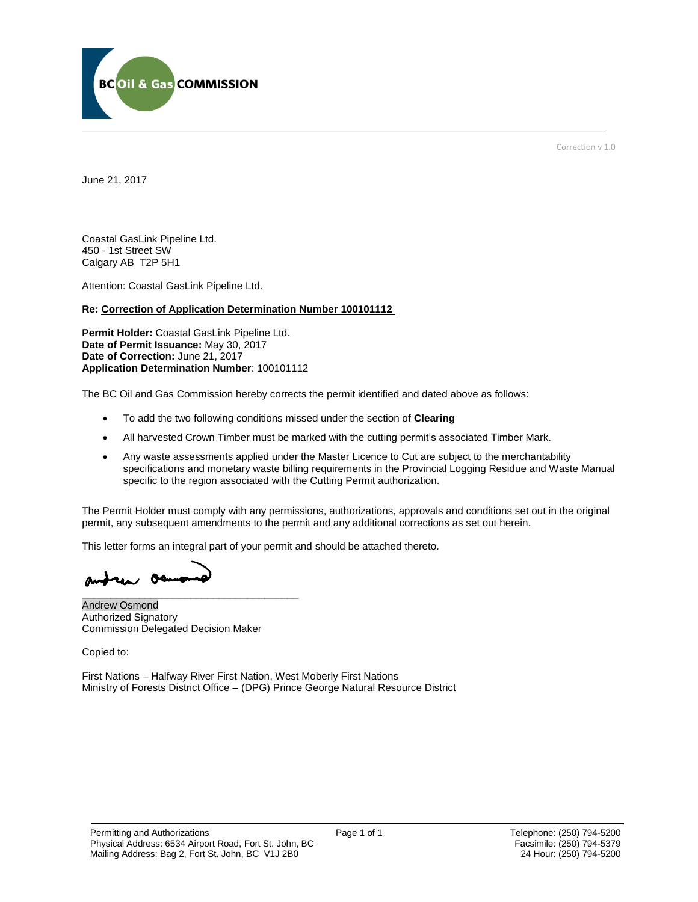

Correction v 1.0

June 21, 2017

Coastal GasLink Pipeline Ltd. 450 - 1st Street SW Calgary AB T2P 5H1

Attention: Coastal GasLink Pipeline Ltd.

#### **Re: Correction of Application Determination Number 100101112**

**Permit Holder:** Coastal GasLink Pipeline Ltd. **Date of Permit Issuance:** May 30, 2017 **Date of Correction:** June 21, 2017 **Application Determination Number**: 100101112

The BC Oil and Gas Commission hereby corrects the permit identified and dated above as follows:

- To add the two following conditions missed under the section of **Clearing**
- All harvested Crown Timber must be marked with the cutting permit's associated Timber Mark.
- Any waste assessments applied under the Master Licence to Cut are subject to the merchantability specifications and monetary waste billing requirements in the Provincial Logging Residue and Waste Manual specific to the region associated with the Cutting Permit authorization.

The Permit Holder must comply with any permissions, authorizations, approvals and conditions set out in the original permit, any subsequent amendments to the permit and any additional corrections as set out herein.

This letter forms an integral part of your permit and should be attached thereto.

andrew oan \_\_\_\_\_\_\_\_\_\_\_\_\_\_\_\_\_\_\_\_\_\_\_\_\_\_\_\_\_\_\_\_\_\_\_\_\_\_

Andrew Osmond Authorized Signatory Commission Delegated Decision Maker

Copied to:

First Nations – Halfway River First Nation, West Moberly First Nations Ministry of Forests District Office – (DPG) Prince George Natural Resource District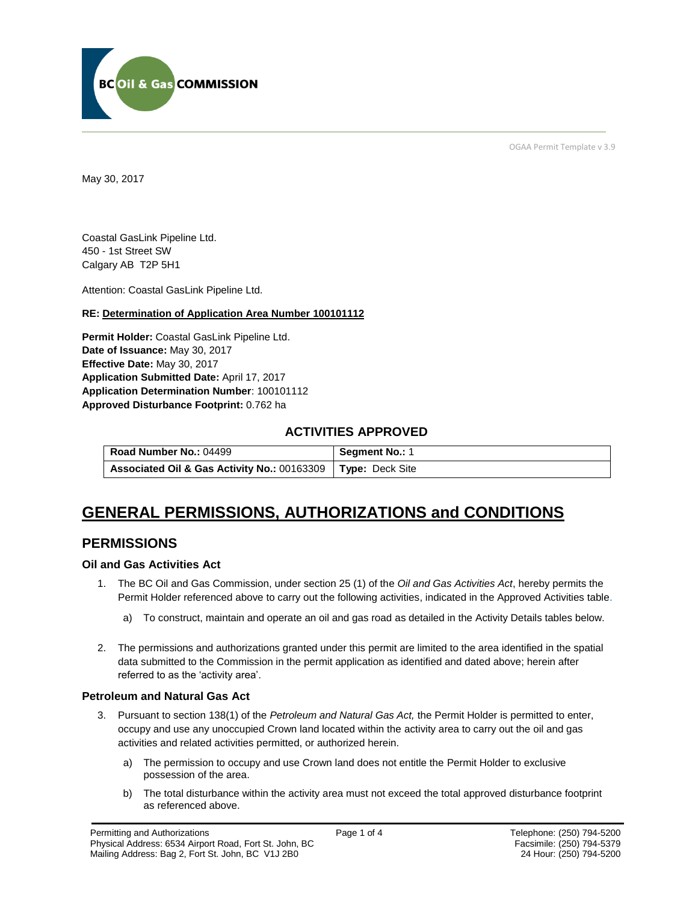

OGAA Permit Template v 3.9

May 30, 2017

Coastal GasLink Pipeline Ltd. 450 - 1st Street SW Calgary AB T2P 5H1

[Attention:](#page-1-0) Coastal GasLink Pipeline Ltd.

#### **RE: Determination of Application Area Number 100101112**

**[Permit Holder:](#page-1-0)** Coastal GasLink Pipeline Ltd. **[Date of Issuance:](#page-1-0)** May 30, 2017 **[Effective Date:](#page-1-1)** May 30, 2017 **[Application Submitted Date:](#page-1-0)** April 17, 2017 **[Application Determination Number](#page-1-0)**: 100101112 **Approved Disturbance Footprint:** 0.762 ha

### **ACTIVITIES APPROVED**

| Road Number No.: 04499                                        | Segment No.: 1 |
|---------------------------------------------------------------|----------------|
| Associated Oil & Gas Activity No.: 00163309   Type: Deck Site |                |

# **GENERAL PERMISSIONS, AUTHORIZATIONS and CONDITIONS**

### **PERMISSIONS**

#### **Oil and Gas Activities Act**

- <span id="page-1-0"></span>1. The BC Oil and Gas Commission, under section 25 (1) of the *Oil and Gas Activities Act*, hereby permits the Permit Holder referenced above to carry out the following activities, indicated in the Approved Activities table.
	- a) To construct, maintain and operate an oil and gas road as detailed in the Activity Details tables below.
- <span id="page-1-1"></span>2. The permissions and authorizations granted under this permit are limited to the area identified in the spatial data submitted to the Commission in the permit application as identified and dated above; herein after referred to as the 'activity area'.

#### **Petroleum and Natural Gas Act**

- 3. Pursuant to section 138(1) of the *Petroleum and Natural Gas Act,* the Permit Holder is permitted to enter, occupy and use any unoccupied Crown land located within the activity area to carry out the oil and gas activities and related activities permitted, or authorized herein.
	- a) The permission to occupy and use Crown land does not entitle the Permit Holder to exclusive possession of the area.
	- b) The total disturbance within the activity area must not exceed the total approved disturbance footprint as referenced above.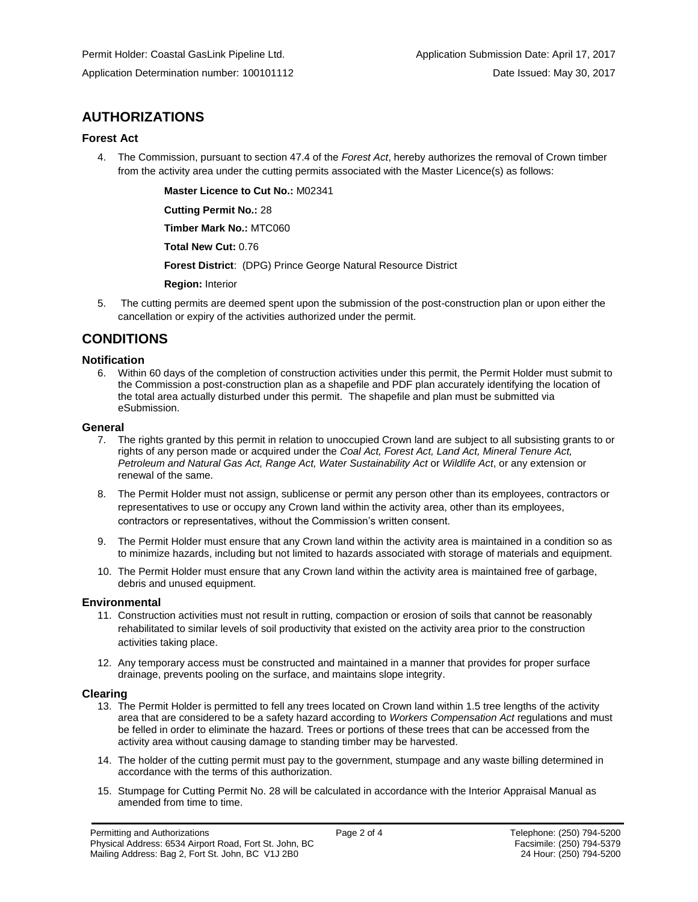## **AUTHORIZATIONS**

#### **Forest Act**

4. The Commission, pursuant to section 47.4 of the *Forest Act*, hereby authorizes the removal of Crown timber from the activity area under the cutting permits associated with the Master Licence(s) as follows:

**[Master Licence to Cut No.:](#page-1-0)** M02341

**[Cutting Permit No.:](#page-1-0)** 28

**[Timber Mark No.:](#page-1-0)** MTC060

**[Total New Cut:](#page-1-0)** 0.76

**[Forest District](https://ams-crd.bcogc.ca/crd/)**: (DPG) Prince George Natural Resource District

**[Region:](#page-1-1)** Interior

5. The cutting permits are deemed spent upon the submission of the post-construction plan or upon either the cancellation or expiry of the activities authorized under the permit.

## **CONDITIONS**

#### **Notification**

6. Within 60 days of the completion of construction activities under this permit, the Permit Holder must submit to the Commission a post-construction plan as a shapefile and PDF plan accurately identifying the location of the total area actually disturbed under this permit. The shapefile and plan must be submitted via eSubmission.

#### **General**

- 7. The rights granted by this permit in relation to unoccupied Crown land are subject to all subsisting grants to or rights of any person made or acquired under the *Coal Act, Forest Act, Land Act, Mineral Tenure Act, Petroleum and Natural Gas Act, Range Act, Water Sustainability Act* or *Wildlife Act*, or any extension or renewal of the same.
- 8. The Permit Holder must not assign, sublicense or permit any person other than its employees, contractors or representatives to use or occupy any Crown land within the activity area, other than its employees, contractors or representatives, without the Commission's written consent.
- 9. The Permit Holder must ensure that any Crown land within the activity area is maintained in a condition so as to minimize hazards, including but not limited to hazards associated with storage of materials and equipment.
- 10. The Permit Holder must ensure that any Crown land within the activity area is maintained free of garbage, debris and unused equipment.

#### **Environmental**

- 11. Construction activities must not result in rutting, compaction or erosion of soils that cannot be reasonably rehabilitated to similar levels of soil productivity that existed on the activity area prior to the construction activities taking place.
- 12. Any temporary access must be constructed and maintained in a manner that provides for proper surface drainage, prevents pooling on the surface, and maintains slope integrity.

#### **Clearing**

- 13. The Permit Holder is permitted to fell any trees located on Crown land within 1.5 tree lengths of the activity area that are considered to be a safety hazard according to *Workers Compensation Act* regulations and must be felled in order to eliminate the hazard. Trees or portions of these trees that can be accessed from the activity area without causing damage to standing timber may be harvested.
- 14. The holder of the cutting permit must pay to the government, stumpage and any waste billing determined in accordance with the terms of this authorization.
- 15. Stumpage for Cutting Permit No. 28 will be calculated in accordance with the Interior Appraisal Manual as amended from time to time.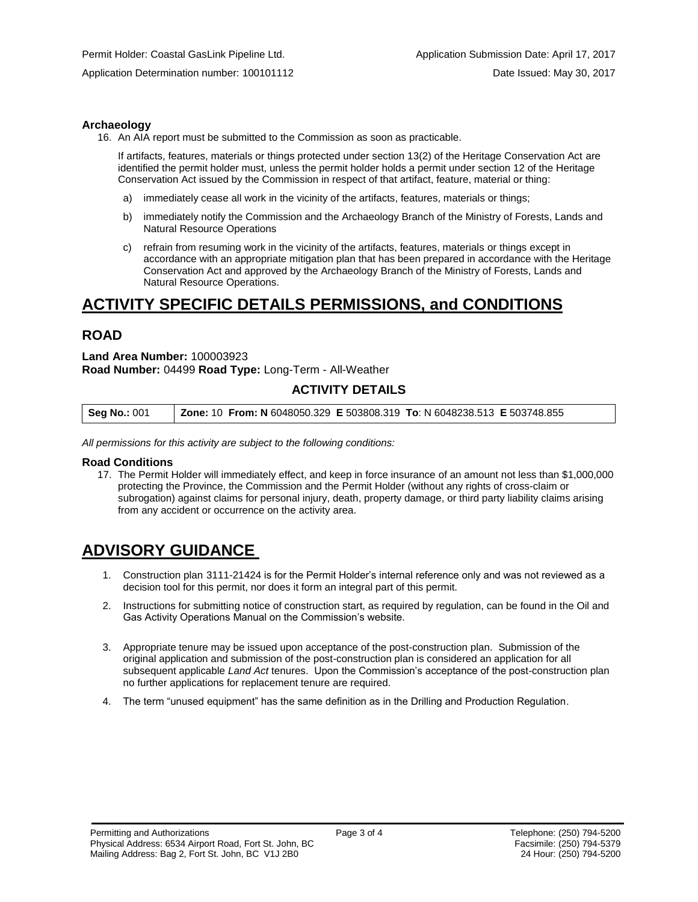Application Determination number: 100101112 Date Issued: May 30, 2017

#### **Archaeology**

16. An AIA report must be submitted to the Commission as soon as practicable.

If artifacts, features, materials or things protected under section 13(2) of the Heritage Conservation Act are identified the permit holder must, unless the permit holder holds a permit under section 12 of the Heritage Conservation Act issued by the Commission in respect of that artifact, feature, material or thing:

- a) immediately cease all work in the vicinity of the artifacts, features, materials or things;
- b) immediately notify the Commission and the Archaeology Branch of the Ministry of Forests, Lands and Natural Resource Operations
- c) refrain from resuming work in the vicinity of the artifacts, features, materials or things except in accordance with an appropriate mitigation plan that has been prepared in accordance with the Heritage Conservation Act and approved by the Archaeology Branch of the Ministry of Forests, Lands and Natural Resource Operations.

## **ACTIVITY SPECIFIC DETAILS PERMISSIONS, and CONDITIONS**

## **ROAD**

#### **Land Area Number:** 100003923 **Road Number:** 04499 **Road Type:** Long-Term - All-Weather

### **ACTIVITY DETAILS**

| <b>Zone: 10 From: N</b> 6048050.329 E 503808.319 To: N 6048238.513 E 503748.855<br><b>Seg No.: 001</b> |  |
|--------------------------------------------------------------------------------------------------------|--|
|--------------------------------------------------------------------------------------------------------|--|

*All permissions for this activity are subject to the following conditions:*

#### **Road Conditions**

17. The Permit Holder will immediately effect, and keep in force insurance of an amount not less than \$1,000,000 protecting the Province, the Commission and the Permit Holder (without any rights of cross-claim or subrogation) against claims for personal injury, death, property damage, or third party liability claims arising from any accident or occurrence on the activity area.

## **ADVISORY GUIDANCE**

- 1. Construction plan 3111-21424 is for the Permit Holder's internal reference only and was not reviewed as a decision tool for this permit, nor does it form an integral part of this permit.
- 2. Instructions for submitting notice of construction start, as required by regulation, can be found in the Oil and Gas Activity Operations Manual on the Commission's website.
- 3. Appropriate tenure may be issued upon acceptance of the post-construction plan. Submission of the original application and submission of the post-construction plan is considered an application for all subsequent applicable *Land Act* tenures. Upon the Commission's acceptance of the post-construction plan no further applications for replacement tenure are required.
- 4. The term "unused equipment" has the same definition as in the Drilling and Production Regulation.